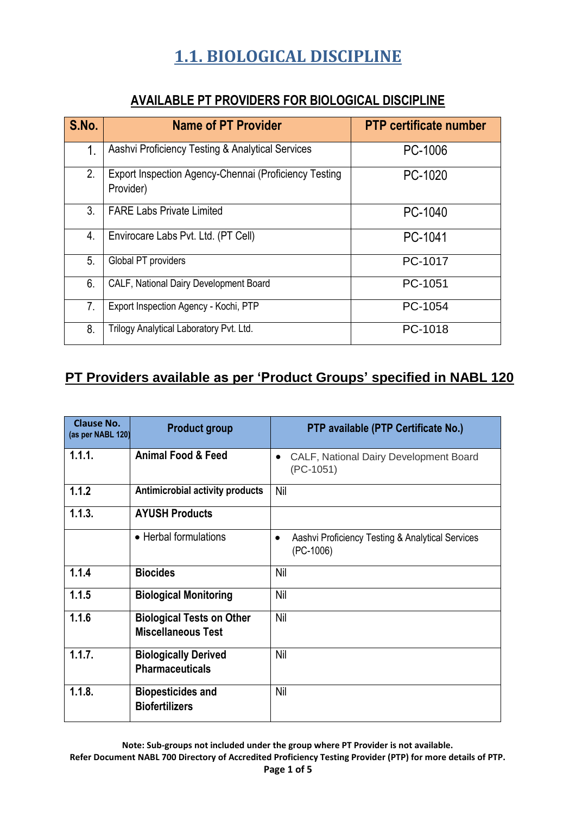| S.No. | <b>Name of PT Provider</b>                                         | <b>PTP certificate number</b> |
|-------|--------------------------------------------------------------------|-------------------------------|
| 1.    | Aashvi Proficiency Testing & Analytical Services                   | PC-1006                       |
| 2.    | Export Inspection Agency-Chennai (Proficiency Testing<br>Provider) | PC-1020                       |
| 3.    | <b>FARE Labs Private Limited</b>                                   | PC-1040                       |
| 4.    | Envirocare Labs Pvt. Ltd. (PT Cell)                                | PC-1041                       |
| 5.    | Global PT providers                                                | PC-1017                       |
| 6.    | CALF, National Dairy Development Board                             | PC-1051                       |
| 7.    | Export Inspection Agency - Kochi, PTP                              | PC-1054                       |
| 8.    | Trilogy Analytical Laboratory Pvt. Ltd.                            | PC-1018                       |

#### **AVAILABLE PT PROVIDERS FOR BIOLOGICAL DISCIPLINE**

#### **PT Providers available as per 'Product Groups' specified in NABL 120**

| Clause No.<br>(as per NABL 120) | <b>Product group</b>                                          | PTP available (PTP Certificate No.)                                          |
|---------------------------------|---------------------------------------------------------------|------------------------------------------------------------------------------|
| 1.1.1.                          | <b>Animal Food &amp; Feed</b>                                 | CALF, National Dairy Development Board<br>$\bullet$<br>$(PC-1051)$           |
| 1.1.2                           | <b>Antimicrobial activity products</b>                        | <b>Nil</b>                                                                   |
| 1.1.3.                          | <b>AYUSH Products</b>                                         |                                                                              |
|                                 | • Herbal formulations                                         | Aashvi Proficiency Testing & Analytical Services<br>$\bullet$<br>$(PC-1006)$ |
| 1.1.4                           | <b>Biocides</b>                                               | Nil                                                                          |
| 1.1.5                           | <b>Biological Monitoring</b>                                  | <b>Nil</b>                                                                   |
| 1.1.6                           | <b>Biological Tests on Other</b><br><b>Miscellaneous Test</b> | Nil                                                                          |
| 1.1.7.                          | <b>Biologically Derived</b><br><b>Pharmaceuticals</b>         | Nil                                                                          |
| 1.1.8.                          | <b>Biopesticides and</b><br><b>Biofertilizers</b>             | <b>Nil</b>                                                                   |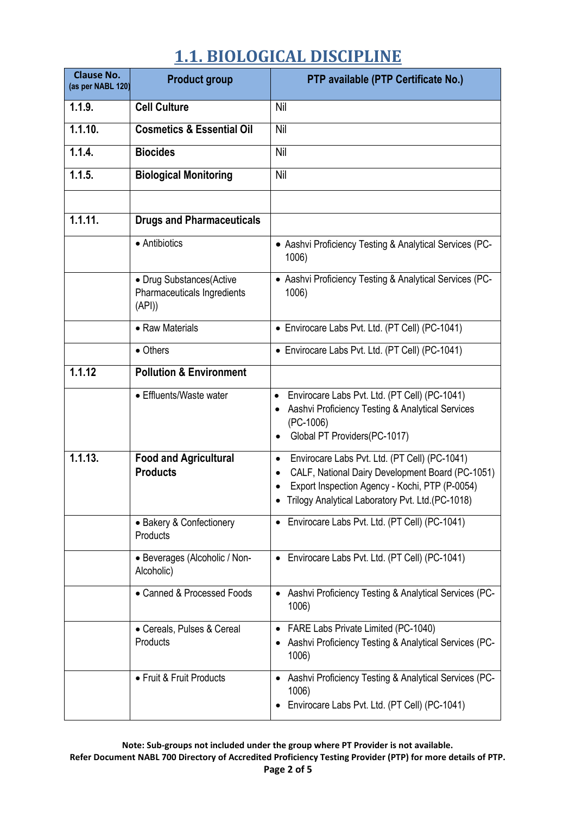| <b>Clause No.</b><br>(as per NABL 120) | <b>Product group</b>                                             | PTP available (PTP Certificate No.)                                                                                                                                                                                                  |
|----------------------------------------|------------------------------------------------------------------|--------------------------------------------------------------------------------------------------------------------------------------------------------------------------------------------------------------------------------------|
| 1.1.9.                                 | <b>Cell Culture</b>                                              | Nil                                                                                                                                                                                                                                  |
| 1.1.10.                                | <b>Cosmetics &amp; Essential Oil</b>                             | Nil                                                                                                                                                                                                                                  |
| 1.1.4.                                 | <b>Biocides</b>                                                  | Nil                                                                                                                                                                                                                                  |
| 1.1.5.                                 | <b>Biological Monitoring</b>                                     | Nil                                                                                                                                                                                                                                  |
|                                        |                                                                  |                                                                                                                                                                                                                                      |
| 1.1.11.                                | <b>Drugs and Pharmaceuticals</b>                                 |                                                                                                                                                                                                                                      |
|                                        | • Antibiotics                                                    | • Aashvi Proficiency Testing & Analytical Services (PC-<br>1006)                                                                                                                                                                     |
|                                        | • Drug Substances(Active<br>Pharmaceuticals Ingredients<br>(API) | • Aashvi Proficiency Testing & Analytical Services (PC-<br>1006)                                                                                                                                                                     |
|                                        | • Raw Materials                                                  | • Envirocare Labs Pvt. Ltd. (PT Cell) (PC-1041)                                                                                                                                                                                      |
|                                        | • Others                                                         | • Envirocare Labs Pvt. Ltd. (PT Cell) (PC-1041)                                                                                                                                                                                      |
| 1.1.12                                 | <b>Pollution &amp; Environment</b>                               |                                                                                                                                                                                                                                      |
|                                        | • Effluents/Waste water                                          | Envirocare Labs Pvt. Ltd. (PT Cell) (PC-1041)<br>$\bullet$<br>Aashvi Proficiency Testing & Analytical Services<br>$\bullet$<br>$(PC-1006)$<br>Global PT Providers(PC-1017)<br>$\bullet$                                              |
| 1.1.13.                                | <b>Food and Agricultural</b><br><b>Products</b>                  | Envirocare Labs Pvt. Ltd. (PT Cell) (PC-1041)<br>$\bullet$<br>CALF, National Dairy Development Board (PC-1051)<br>$\bullet$<br>Export Inspection Agency - Kochi, PTP (P-0054)<br>• Trilogy Analytical Laboratory Pvt. Ltd. (PC-1018) |
|                                        | • Bakery & Confectionery<br>Products                             | • Envirocare Labs Pvt. Ltd. (PT Cell) (PC-1041)                                                                                                                                                                                      |
|                                        | • Beverages (Alcoholic / Non-<br>Alcoholic)                      | • Envirocare Labs Pvt. Ltd. (PT Cell) (PC-1041)                                                                                                                                                                                      |
|                                        | • Canned & Processed Foods                                       | Aashvi Proficiency Testing & Analytical Services (PC-<br>1006)                                                                                                                                                                       |
|                                        | • Cereals, Pulses & Cereal<br>Products                           | FARE Labs Private Limited (PC-1040)<br>$\bullet$<br>Aashvi Proficiency Testing & Analytical Services (PC-<br>1006)                                                                                                                   |
|                                        | • Fruit & Fruit Products                                         | Aashvi Proficiency Testing & Analytical Services (PC-<br>1006)<br>Envirocare Labs Pvt. Ltd. (PT Cell) (PC-1041)                                                                                                                      |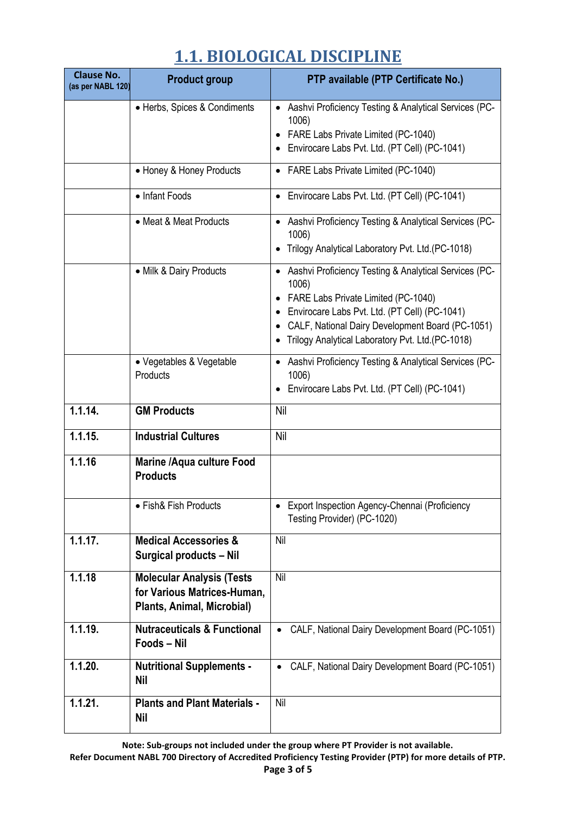| <b>Clause No.</b><br>(as per NABL 120) | <b>Product group</b>                                                                          | PTP available (PTP Certificate No.)                                                                                                                                                                                                                                           |
|----------------------------------------|-----------------------------------------------------------------------------------------------|-------------------------------------------------------------------------------------------------------------------------------------------------------------------------------------------------------------------------------------------------------------------------------|
|                                        | • Herbs, Spices & Condiments                                                                  | Aashvi Proficiency Testing & Analytical Services (PC-<br>1006)<br>FARE Labs Private Limited (PC-1040)<br>$\bullet$<br>Envirocare Labs Pvt. Ltd. (PT Cell) (PC-1041)                                                                                                           |
|                                        | • Honey & Honey Products                                                                      | • FARE Labs Private Limited (PC-1040)                                                                                                                                                                                                                                         |
|                                        | • Infant Foods                                                                                | Envirocare Labs Pvt. Ltd. (PT Cell) (PC-1041)<br>$\bullet$                                                                                                                                                                                                                    |
|                                        | • Meat & Meat Products                                                                        | • Aashvi Proficiency Testing & Analytical Services (PC-<br>1006)<br>Trilogy Analytical Laboratory Pvt. Ltd.(PC-1018)                                                                                                                                                          |
|                                        | • Milk & Dairy Products                                                                       | • Aashvi Proficiency Testing & Analytical Services (PC-<br>1006)<br>FARE Labs Private Limited (PC-1040)<br>$\bullet$<br>Envirocare Labs Pvt. Ltd. (PT Cell) (PC-1041)<br>CALF, National Dairy Development Board (PC-1051)<br>Trilogy Analytical Laboratory Pvt. Ltd.(PC-1018) |
|                                        | • Vegetables & Vegetable<br>Products                                                          | • Aashvi Proficiency Testing & Analytical Services (PC-<br>1006)<br>Envirocare Labs Pvt. Ltd. (PT Cell) (PC-1041)                                                                                                                                                             |
| 1.1.14.                                | <b>GM Products</b>                                                                            | Nil                                                                                                                                                                                                                                                                           |
| 1.1.15.                                | <b>Industrial Cultures</b>                                                                    | Nil                                                                                                                                                                                                                                                                           |
| 1.1.16                                 | <b>Marine /Aqua culture Food</b><br><b>Products</b>                                           |                                                                                                                                                                                                                                                                               |
|                                        | • Fish& Fish Products                                                                         | • Export Inspection Agency-Chennai (Proficiency<br>Testing Provider) (PC-1020)                                                                                                                                                                                                |
| 1.1.17.                                | <b>Medical Accessories &amp;</b><br><b>Surgical products - Nil</b>                            | Nil                                                                                                                                                                                                                                                                           |
| 1.1.18                                 | <b>Molecular Analysis (Tests</b><br>for Various Matrices-Human,<br>Plants, Animal, Microbial) | Nil                                                                                                                                                                                                                                                                           |
| 1.1.19.                                | <b>Nutraceuticals &amp; Functional</b><br>Foods - Nil                                         | CALF, National Dairy Development Board (PC-1051)                                                                                                                                                                                                                              |
| $\overline{1.1.20}$ .                  | <b>Nutritional Supplements -</b><br><b>Nil</b>                                                | CALF, National Dairy Development Board (PC-1051)                                                                                                                                                                                                                              |
| 1.1.21.                                | <b>Plants and Plant Materials -</b><br><b>Nil</b>                                             | Nil                                                                                                                                                                                                                                                                           |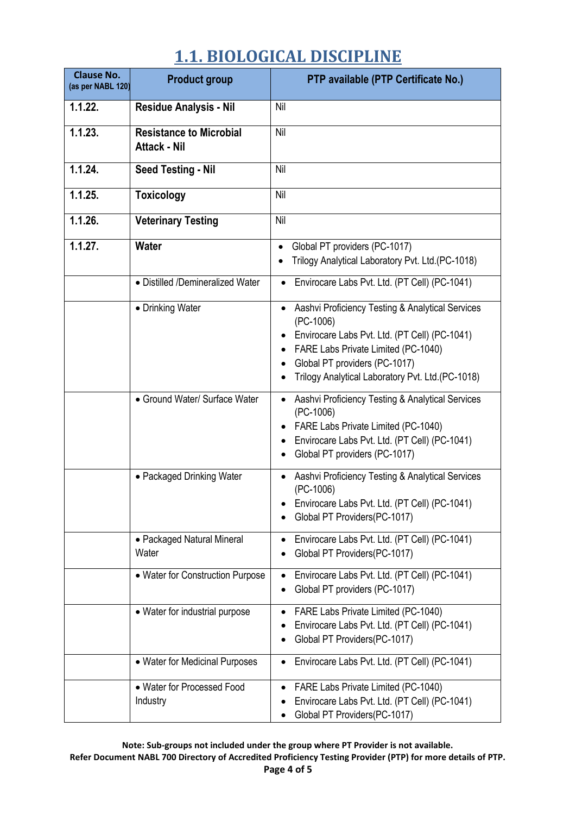| <b>Clause No.</b><br>(as per NABL 120) | <b>Product group</b>                                  | PTP available (PTP Certificate No.)                                                                                                                                                                                                                                                 |
|----------------------------------------|-------------------------------------------------------|-------------------------------------------------------------------------------------------------------------------------------------------------------------------------------------------------------------------------------------------------------------------------------------|
| 1.1.22.                                | <b>Residue Analysis - Nil</b>                         | Nil                                                                                                                                                                                                                                                                                 |
| 1.1.23.                                | <b>Resistance to Microbial</b><br><b>Attack - Nil</b> | Nil                                                                                                                                                                                                                                                                                 |
| 1.1.24.                                | <b>Seed Testing - Nil</b>                             | Nil                                                                                                                                                                                                                                                                                 |
| 1.1.25.                                | <b>Toxicology</b>                                     | Nil                                                                                                                                                                                                                                                                                 |
| 1.1.26.                                | <b>Veterinary Testing</b>                             | Nil                                                                                                                                                                                                                                                                                 |
| 1.1.27.                                | <b>Water</b>                                          | Global PT providers (PC-1017)<br>Trilogy Analytical Laboratory Pvt. Ltd.(PC-1018)                                                                                                                                                                                                   |
|                                        | • Distilled /Demineralized Water                      | Envirocare Labs Pvt. Ltd. (PT Cell) (PC-1041)                                                                                                                                                                                                                                       |
|                                        | • Drinking Water                                      | Aashvi Proficiency Testing & Analytical Services<br>$\bullet$<br>$(PC-1006)$<br>Envirocare Labs Pvt. Ltd. (PT Cell) (PC-1041)<br>$\bullet$<br>FARE Labs Private Limited (PC-1040)<br>$\bullet$<br>Global PT providers (PC-1017)<br>Trilogy Analytical Laboratory Pvt. Ltd.(PC-1018) |
|                                        | • Ground Water/ Surface Water                         | Aashvi Proficiency Testing & Analytical Services<br>$\bullet$<br>$(PC-1006)$<br>FARE Labs Private Limited (PC-1040)<br>Envirocare Labs Pvt. Ltd. (PT Cell) (PC-1041)<br>Global PT providers (PC-1017)<br>٠                                                                          |
|                                        | • Packaged Drinking Water                             | Aashvi Proficiency Testing & Analytical Services<br>$\bullet$<br>$(PC-1006)$<br>Envirocare Labs Pvt. Ltd. (PT Cell) (PC-1041)<br>$\bullet$<br>Global PT Providers(PC-1017)                                                                                                          |
|                                        | • Packaged Natural Mineral<br>Water                   | Envirocare Labs Pvt. Ltd. (PT Cell) (PC-1041)<br>$\bullet$<br>Global PT Providers(PC-1017)                                                                                                                                                                                          |
|                                        | • Water for Construction Purpose                      | Envirocare Labs Pvt. Ltd. (PT Cell) (PC-1041)<br>٠<br>Global PT providers (PC-1017)                                                                                                                                                                                                 |
|                                        | • Water for industrial purpose                        | FARE Labs Private Limited (PC-1040)<br>$\bullet$<br>Envirocare Labs Pvt. Ltd. (PT Cell) (PC-1041)<br>Global PT Providers(PC-1017)                                                                                                                                                   |
|                                        | • Water for Medicinal Purposes                        | Envirocare Labs Pvt. Ltd. (PT Cell) (PC-1041)<br>$\bullet$                                                                                                                                                                                                                          |
|                                        | • Water for Processed Food<br>Industry                | FARE Labs Private Limited (PC-1040)<br>$\bullet$<br>Envirocare Labs Pvt. Ltd. (PT Cell) (PC-1041)<br>Global PT Providers(PC-1017)                                                                                                                                                   |